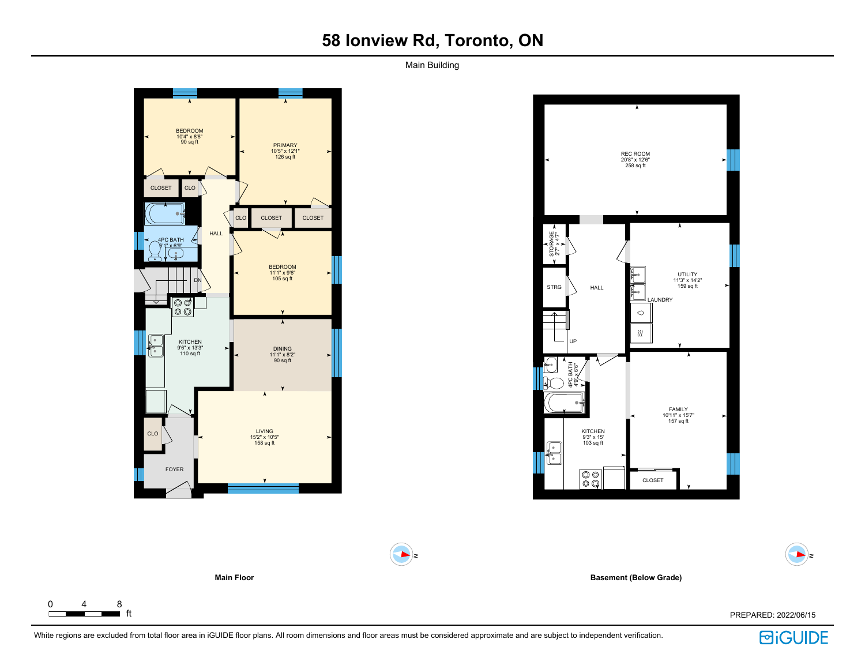# **58 Ionview Rd, Toronto, ON**

Main Building



 $0 \t 4 \t 8$ <br> $\overline{\phantom{0}}$  ft

 $\Gamma$ 



**Basement (Below Grade)**

ft PREPARED: 2022/06/15



 $\blacktriangleright$ 



 $\blacktriangleright$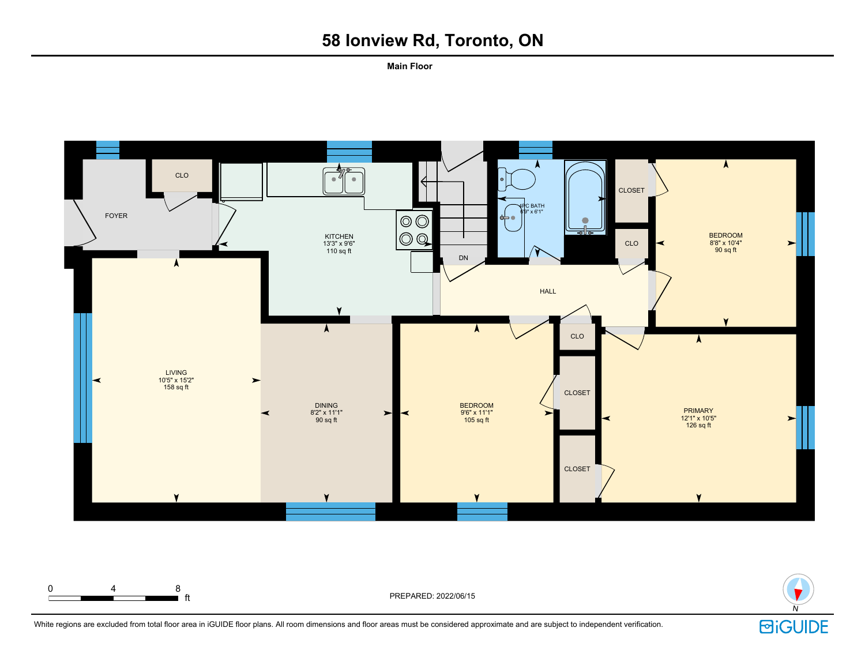# **58 Ionview Rd, Toronto, ON**

**Main Floor**





White regions are excluded from total floor area in iGUIDE floor plans. All room dimensions and floor areas must be considered approximate and are subject to independent verification.

ft PREPARED: 2022/06/15

0 4 8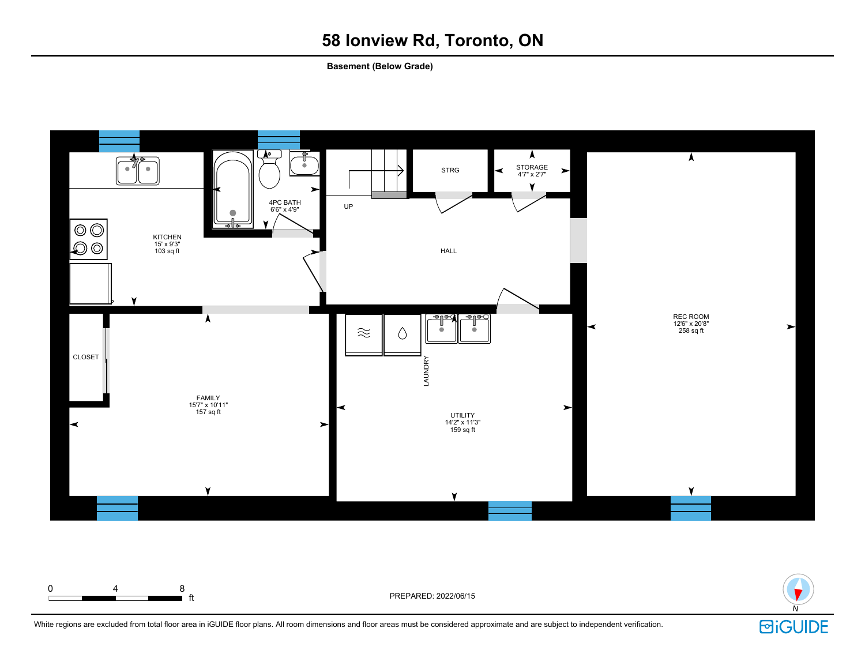# **58 Ionview Rd, Toronto, ON**

**Basement (Below Grade)**





ft PREPARED: 2022/06/15

0 4 8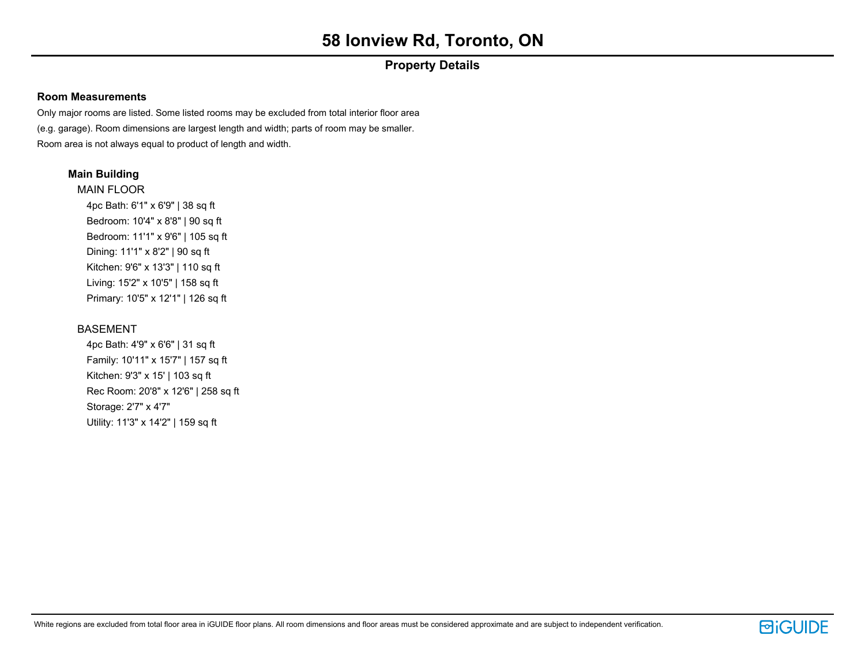## **Property Details**

## **Room Measurements**

Only major rooms are listed. Some listed rooms may be excluded from total interior floor area (e.g. garage). Room dimensions are largest length and width; parts of room may be smaller. Room area is not always equal to product of length and width.

## **Main Building**

MAIN FLOOR 4pc Bath: 6'1" x 6'9" | 38 sq ft Bedroom: 10'4" x 8'8" | 90 sq ft Bedroom: 11'1" x 9'6" | 105 sq ft Dining: 11'1" x 8'2" | 90 sq ft Kitchen: 9'6" x 13'3" | 110 sq ft Living: 15'2" x 10'5" | 158 sq ft Primary: 10'5" x 12'1" | 126 sq ft

## BASEMENT

4pc Bath: 4'9" x 6'6" | 31 sq ft Family: 10'11" x 15'7" | 157 sq ft Kitchen: 9'3" x 15' | 103 sq ft Rec Room: 20'8" x 12'6" | 258 sq ft Storage: 2'7" x 4'7" Utility: 11'3" x 14'2" | 159 sq ft